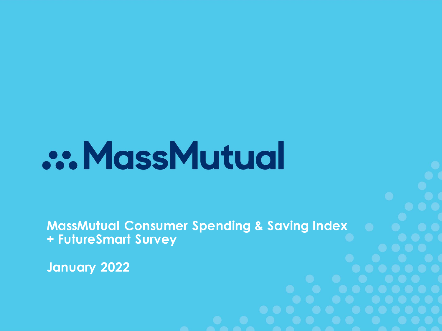# **.:. MassMutual**

**MassMutual Consumer Spending & Saving Index + FutureSmart Survey**

**January 2022**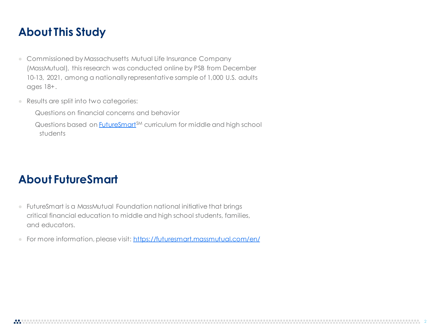#### **About This Study**

- **●** Commissioned by Massachusetts Mutual Life Insurance Company (MassMutual), this research was conducted online by PSB from December 10-13, 2021, among a nationally representative sample of 1,000 U.S. adults ages 18+.
- **●** Results are split into two categories:

Questions on financial concerns and behavior

Questions based on **FutureSmart**<sup>SM</sup> curriculum for middle and high school students

#### **About FutureSmart**

- **●** FutureSmart is a MassMutual Foundation national initiative that brings critical financial education to middle and high school students, families, and educators.
- **●** For more information, please visit:<https://futuresmart.massmutual.com/en/>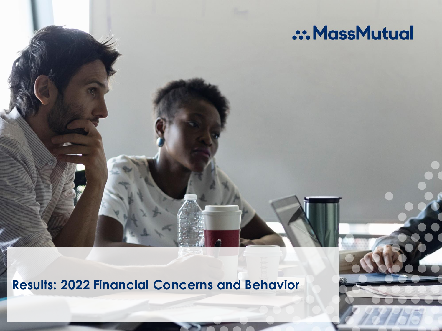### .:. MassMutual

**Results: 2022 Financial Concerns and Behavior**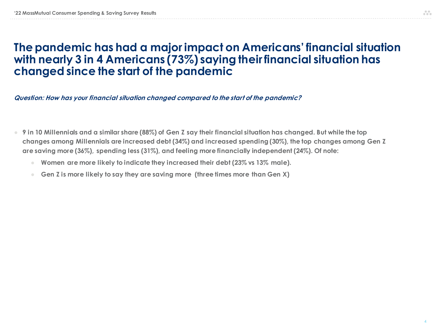#### **The pandemic has had a major impact on Americans' financial situation with nearly 3 in 4 Americans (73%) saying their financial situation has changed since the start of the pandemic**

**Question: How has your financial situation changed compared to the start of the pandemic?**

- **● 9 in 10 Millennials and a similar share (88%) of Gen Z say their financial situation has changed. But while the top changes among Millennials are increased debt (34%) and increased spending (30%), the top changes among Gen Z are saving more (36%), spending less (31%), and feeling more financially independent (24%). Of note:**
	- **● Women are more likely to indicate they increased their debt (23% vs 13% male).**
	- **● Gen Z is more likely to say they are saving more (three times more than Gen X)**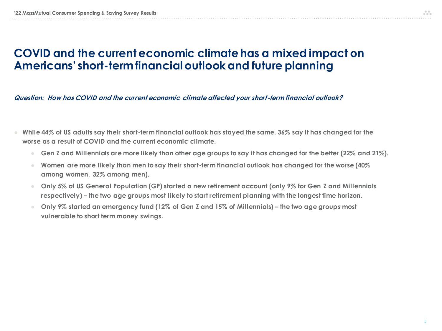#### **COVID and the current economic climate has a mixed impact on Americans' short-term financial outlook and future planning**

**Question: How has COVID and the current economic climate affected your short-term financial outlook?**

- **● While 44% of US adults say their short-term financial outlook has stayed the same, 36% say it has changed for the worse as a result of COVID and the current economic climate.**
	- **● Gen Z and Millennials are more likely than other age groups to say it has changed for the better (22% and 21%).**
	- **● Women are more likely than men to say their short-term financial outlook has changed for the worse (40% among women, 32% among men).**
	- **● Only 5% of US General Population (GP) started a new retirement account (only 9% for Gen Z and Millennials respectively) – the two age groups most likely to start retirement planning with the longest time horizon.**
	- **● Only 9% started an emergency fund (12% of Gen Z and 15% of Millennials) – the two age groups most vulnerable to short term money swings.**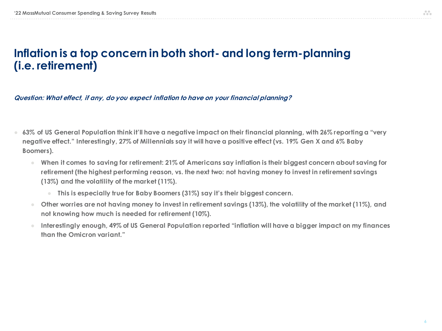#### **Inflation is a top concern in both short- and long term-planning (i.e. retirement)**

**Question: What effect, if any, do you expect inflation to have on your financial planning?**

- **● 63% of US General Population think it'll have a negative impact on their financial planning, with 26% reporting a "very negative effect." Interestingly, 27% of Millennials say it will have a positive effect (vs. 19% Gen X and 6% Baby Boomers).**
	- When it comes to saving for retirement: 21% of Americans say inflation is their biggest concern about saving for **retirement (the highest performing reason, vs. the next two: not having money to invest in retirement savings (13%) and the volatility of the market (11%).** 
		- **● This is especially true for Baby Boomers (31%) say it's their biggest concern.**
	- **● Other worries are not having money to invest in retirement savings (13%), the volatility of the market (11%), and not knowing how much is needed for retirement (10%).**
	- **● Interestingly enough, 49% of US General Population reported "inflation will have a bigger impact on my finances than the Omicron variant."**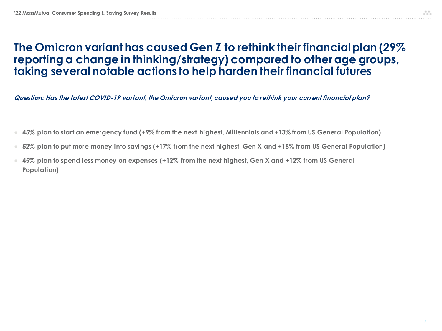#### **The Omicron variant has caused Gen Z to rethink their financial plan (29% reporting a change in thinking/strategy) compared to other age groups, taking several notable actions to help harden their financial futures**

**Question: Has the latest COVID-19 variant, the Omicron variant, caused you to rethink your current financial plan?**

- **● 45% plan to start an emergency fund (+9% from the next highest, Millennials and +13% from US General Population)**
- **● 52% plan to put more money into savings (+17% from the next highest, Gen X and +18% from US General Population)**
- **● 45% plan to spend less money on expenses (+12% from the next highest, Gen X and +12% from US General Population)**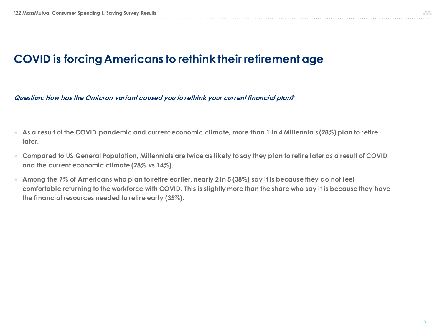#### **COVID is forcing Americans to rethink their retirement age**

**Question: How has the Omicron variant caused you to rethink your current financial plan?**

- **● As a result of the COVID pandemic and current economic climate, more than 1 in 4 Millennials (28%) plan to retire later.**
- **● Compared to US General Population, Millennials are twice as likely to say they plan to retire later as a result of COVID and the current economic climate (28% vs 14%).**
- **● Among the 7% of Americans who plan to retire earlier, nearly 2 in 5 (38%) say it is because they do not feel comfortable returning to the workforce with COVID. This is slightly more than the share who say it is because they have the financial resources needed to retire early (35%).**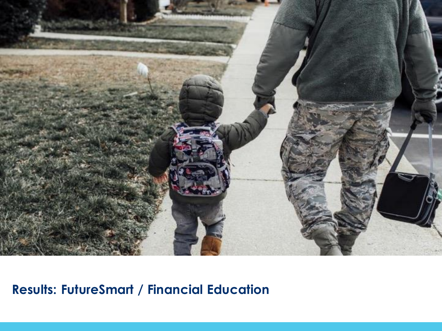

### **Results: FutureSmart / Financial Education**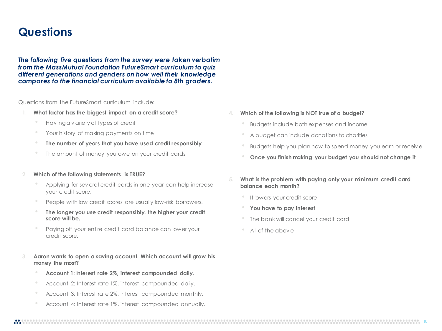#### **Questions**

*The following five questions from the survey were taken verbatim from the MassMutual Foundation FutureSmart curriculum to quiz different generations and genders on how well their knowledge compares to the financial curriculum available to 8th graders.*

Questions from the FutureSmart curriculum include:

- **1. What factor has the biggest impact on a credit score?**
	- Hav ing a v ariety of types of credit
	- Your history of making payments on time
	- **The number of years that you have used credit responsibly**
	- The amount of money you owe on your credit cards
- **2. Which of the following statements is TRUE?**
	- Applying for sev eral credit cards in one year can help increase your credit score.
	- People with low credit scores are usually low-risk borrowers.
	- **The longer you use credit responsibly, the higher your credit score will be.**
	- Paying off your entire credit card balance can lower your credit score.
- **3. Aaron wants to open a saving account. Which account will grow his money the most?**
	- **Account 1: Interest rate 2%, interest compounded daily.**
	- Account 2: Interest rate 1%, interest compounded daily.
	- Account 3: Interest rate 2%, interest compounded monthly.
	- Account 4: Interest rate 1%, interest compounded annually.
- **4. Which of the following is NOT true of a budget?**
	- Budgets include both expenses and income
	- A budget can include donations to charities
	- Budgets help you plan how to spend money you earn or receiv e
	- **Once you finish making your budget you should not change it**
- **5. What is the problem with paying only your minimum credit card balance each month?**
	- It lowers your credit score
	- **You have to pay interest**
	- The bank will cancel your credit card
	- All of the abov e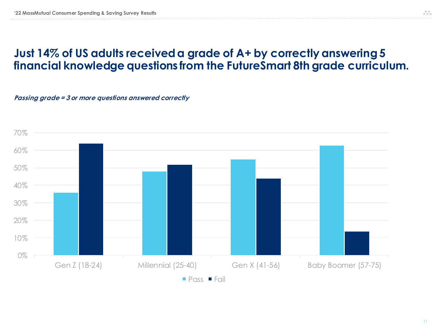#### **Just 14% of US adults received a grade of A+ by correctly answering 5 financial knowledge questions from the FutureSmart 8th grade curriculum.**

#### **Passing grade = 3 or more questions answered correctly**

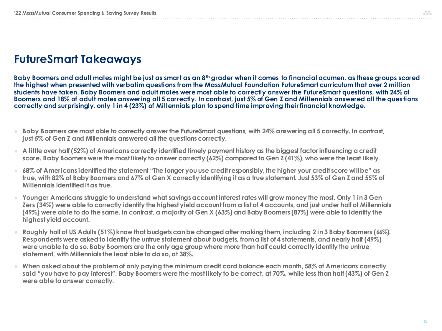#### **FutureSmart Takeaways**

**Baby Boomers and adult males might be just as smart as an 8th grader when it comes to financial acumen, as these groups scored the highest when presented with verbatim questions from the MassMutual Foundation FutureSmart curriculum that over 2 million students have taken. Baby Boomers and adult males were most able to correctly answer the FutureSmart questions, with 24% of Boomers and 18% of adult males answering all 5 correctly. In contrast, just 5% of Gen Z and Millennials answered all the ques tions correctly and surprisingly, only 1 in 4 (23%) of Millennials plan to spend time improving their financial knowledge.**

- **● Baby Boomers are most able to correctly answer the FutureSmart questions, with 24% answering all 5 correctly. In contrast, just 5% of Gen Z and Millennials answered all the questions correctly.**
- **● A little over half (52%) of Americans correctly identified timely payment history as the biggest factor influencing a credit score. Baby Boomers were the most likely to answer correctly (62%) compared to Gen Z (41%), who were the least likely.**
- **● 68% of Americans identified the statement "The longer you use credit responsibly, the higher your credit score will be" as true, with 82% of Baby Boomers and 67% of Gen X correctly identifying it as a true statement. Just 53% of Gen Z and 55% of Millennials identified it as true.**
- **● Younger Americans struggle to understand what savings account interest rates will grow money the most. Only 1 in 3 Gen Zers (34%) were able to correctly identify the highest yield account from a list of 4 accounts, and just under half of Millennials (49%) were able to do the same. In contrast, a majority of Gen X (63%) and Baby Boomers (87%) were able to identify the highest yield account.**
- **● Roughly half of US Adults (51%) know that budgets can be changed after making them, including 2 in 3 Baby Boomers (66%). Respondents were asked to identify the untrue statement about budgets, from a list of 4 statements, and nearly half (49%) were unable to do so. Baby Boomers are the only age group where more than half could correctly identify the untrue statement, with Millennials the least able to do so, at 38%.**
- **● When asked about the problem of only paying the minimum credit card balance each month, 58% of Americans correctly said "you have to pay interest". Baby Boomers were the most likely to be correct, at 70%, while less than half (43%) of Gen Z were able to answer correctly.**